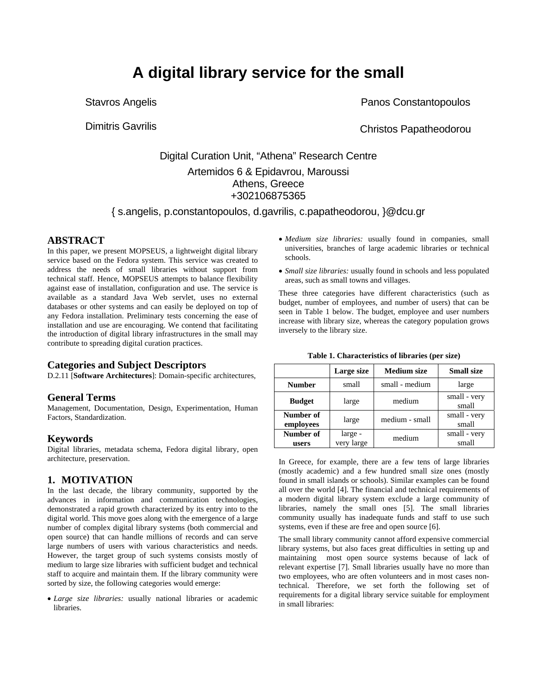# **A digital library service for the small**

Stavros Angelis

Dimitris Gavrilis

Panos Constantopoulos

Christos Papatheodorou

# Digital Curation Unit, "Athena" Research Centre Artemidos 6 & Epidavrou, Maroussi Athens, Greece +302106875365

{ s.angelis, p.constantopoulos, d.gavrilis, c.papatheodorou, }@dcu.gr

# **ABSTRACT**

In this paper, we present MOPSEUS, a lightweight digital library service based on the Fedora system. This service was created to address the needs of small libraries without support from technical staff. Hence, MOPSEUS attempts to balance flexibility against ease of installation, configuration and use. The service is available as a standard Java Web servlet, uses no external databases or other systems and can easily be deployed on top of any Fedora installation. Preliminary tests concerning the ease of installation and use are encouraging. We contend that facilitating the introduction of digital library infrastructures in the small may contribute to spreading digital curation practices.

# **Categories and Subject Descriptors**

D.2.11 [**Software Architectures**]: Domain-specific architectures,

# **General Terms**

Management, Documentation, Design, Experimentation, Human Factors, Standardization.

# **Keywords**

Digital libraries, metadata schema, Fedora digital library, open architecture, preservation.

# **1. MOTIVATION**

In the last decade, the library community, supported by the advances in information and communication technologies, demonstrated a rapid growth characterized by its entry into to the digital world. This move goes along with the emergence of a large number of complex digital library systems (both commercial and open source) that can handle millions of records and can serve large numbers of users with various characteristics and needs. However, the target group of such systems consists mostly of medium to large size libraries with sufficient budget and technical staff to acquire and maintain them. If the library community were sorted by size, the following categories would emerge:

• *Large size libraries:* usually national libraries or academic libraries.

- *Medium size libraries:* usually found in companies, small universities, branches of large academic libraries or technical schools.
- *Small size libraries:* usually found in schools and less populated areas, such as small towns and villages.

These three categories have different characteristics (such as budget, number of employees, and number of users) that can be seen in Table 1 below. The budget, employee and user numbers increase with library size, whereas the category population grows inversely to the library size.

|                        | Large size            | <b>Medium</b> size | <b>Small size</b>     |
|------------------------|-----------------------|--------------------|-----------------------|
| <b>Number</b>          | small                 | small - medium     | large                 |
| <b>Budget</b>          | large                 | medium             | small - very<br>small |
| Number of<br>employees | large                 | medium - small     | small - very<br>small |
| Number of<br>users     | large -<br>very large | medium             | small - very<br>small |

**Table 1. Characteristics of libraries (per size)** 

In Greece, for example, there are a few tens of large libraries (mostly academic) and a few hundred small size ones (mostly found in small islands or schools). Similar examples can be found all over the world [4]. The financial and technical requirements of a modern digital library system exclude a large community of libraries, namely the small ones [5]. The small libraries community usually has inadequate funds and staff to use such systems, even if these are free and open source [6].

The small library community cannot afford expensive commercial library systems, but also faces great difficulties in setting up and maintaining most open source systems because of lack of relevant expertise [7]. Small libraries usually have no more than two employees, who are often volunteers and in most cases nontechnical. Therefore, we set forth the following set of requirements for a digital library service suitable for employment in small libraries: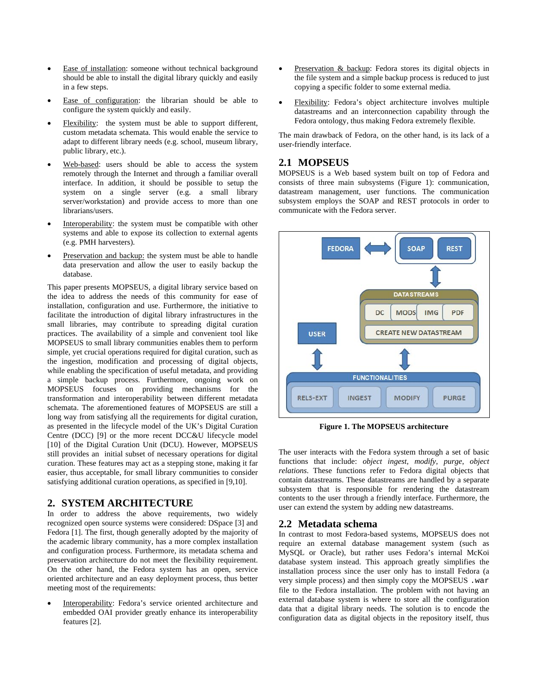- Ease of installation: someone without technical background should be able to install the digital library quickly and easily in a few steps.
- Ease of configuration: the librarian should be able to configure the system quickly and easily.
- Flexibility: the system must be able to support different, custom metadata schemata. This would enable the service to adapt to different library needs (e.g. school, museum library, public library, etc.).
- Web-based: users should be able to access the system remotely through the Internet and through a familiar overall interface. In addition, it should be possible to setup the system on a single server (e.g. a small library server/workstation) and provide access to more than one librarians/users.
- Interoperability: the system must be compatible with other systems and able to expose its collection to external agents (e.g. PMH harvesters).
- Preservation and backup: the system must be able to handle data preservation and allow the user to easily backup the database.

This paper presents MOPSEUS, a digital library service based on the idea to address the needs of this community for ease of installation, configuration and use. Furthermore, the initiative to facilitate the introduction of digital library infrastructures in the small libraries, may contribute to spreading digital curation practices. The availability of a simple and convenient tool like MOPSEUS to small library communities enables them to perform simple, yet crucial operations required for digital curation, such as the ingestion, modification and processing of digital objects, while enabling the specification of useful metadata, and providing a simple backup process. Furthermore, ongoing work on MOPSEUS focuses on providing mechanisms for the transformation and interoperability between different metadata schemata. The aforementioned features of MOPSEUS are still a long way from satisfying all the requirements for digital curation, as presented in the lifecycle model of the UK's Digital Curation Centre (DCC) [9] or the more recent DCC&U lifecycle model [10] of the Digital Curation Unit (DCU). However, MOPSEUS still provides an initial subset of necessary operations for digital curation. These features may act as a stepping stone, making it far easier, thus acceptable, for small library communities to consider satisfying additional curation operations, as specified in [9,10].

#### **2. SYSTEM ARCHITECTURE**

In order to address the above requirements, two widely recognized open source systems were considered: DSpace [3] and Fedora [1]. The first, though generally adopted by the majority of the academic library community, has a more complex installation and configuration process. Furthermore, its metadata schema and preservation architecture do not meet the flexibility requirement. On the other hand, the Fedora system has an open, service oriented architecture and an easy deployment process, thus better meeting most of the requirements:

Interoperability: Fedora's service oriented architecture and embedded OAI provider greatly enhance its interoperability features [2].

- Preservation & backup: Fedora stores its digital objects in the file system and a simple backup process is reduced to just copying a specific folder to some external media.
- Flexibility: Fedora's object architecture involves multiple datastreams and an interconnection capability through the Fedora ontology, thus making Fedora extremely flexible.

The main drawback of Fedora, on the other hand, is its lack of a user-friendly interface.

#### **2.1 MOPSEUS**

MOPSEUS is a Web based system built on top of Fedora and consists of three main subsystems (Figure 1): communication, datastream management, user functions. The communication subsystem employs the SOAP and REST protocols in order to communicate with the Fedora server.



**Figure 1. The MOPSEUS architecture** 

The user interacts with the Fedora system through a set of basic functions that include: *object ingest*, *modify*, *purge*, *object relations*. These functions refer to Fedora digital objects that contain datastreams. These datastreams are handled by a separate subsystem that is responsible for rendering the datastream contents to the user through a friendly interface. Furthermore, the user can extend the system by adding new datastreams.

#### **2.2 Metadata schema**

In contrast to most Fedora-based systems, MOPSEUS does not require an external database management system (such as MySQL or Oracle), but rather uses Fedora's internal McKoi database system instead. This approach greatly simplifies the installation process since the user only has to install Fedora (a very simple process) and then simply copy the MOPSEUS .war file to the Fedora installation. The problem with not having an external database system is where to store all the configuration data that a digital library needs. The solution is to encode the configuration data as digital objects in the repository itself, thus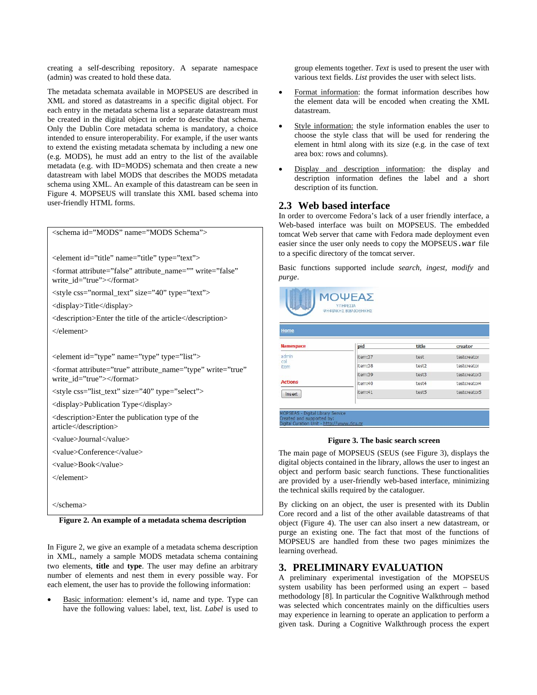creating a self-describing repository. A separate namespace (admin) was created to hold these data.

The metadata schemata available in MOPSEUS are described in XML and stored as datastreams in a specific digital object. For each entry in the metadata schema list a separate datastream must be created in the digital object in order to describe that schema. Only the Dublin Core metadata schema is mandatory, a choice intended to ensure interoperability. For example, if the user wants to extend the existing metadata schemata by including a new one (e.g. MODS), he must add an entry to the list of the available metadata (e.g. with ID=MODS) schemata and then create a new datastream with label MODS that describes the MODS metadata schema using XML. An example of this datastream can be seen in Figure 4. MOPSEUS will translate this XML based schema into user-friendly HTML forms.

<schema id="MODS" name="MODS Schema">

<element id="title" name="title" type="text">

<format attribute="false" attribute\_name="" write="false" write\_id="true"></format>

<style css="normal\_text" size="40" type="text">

<display>Title</display>

<description>Enter the title of the article</description> </element>

<element id="type" name="type" type="list">

<format attribute="true" attribute\_name="type" write="true" write\_id="true"></format>

<style css="list\_text" size="40" type="select">

<display>Publication Type</display>

<description>Enter the publication type of the article</description>

<value>Journal</value>

<value>Conference</value>

<value>Book</value>

</element>

</schema>

**Figure 2. An example of a metadata schema description** 

In Figure 2, we give an example of a metadata schema description in XML, namely a sample MODS metadata schema containing two elements, **title** and **type**. The user may define an arbitrary number of elements and nest them in every possible way. For each element, the user has to provide the following information:

Basic information: element's id, name and type. Type can have the following values: label, text, list. *Label* is used to group elements together. *Text* is used to present the user with various text fields. *List* provides the user with select lists.

- Format information: the format information describes how the element data will be encoded when creating the XML datastream.
- Style information: the style information enables the user to choose the style class that will be used for rendering the element in html along with its size (e.g. in the case of text area box: rows and columns).
- Display and description information: the display and description information defines the label and a short description of its function.

# **2.3 Web based interface**

In order to overcome Fedora's lack of a user friendly interface, a Web-based interface was built on MOPSEUS. The embedded tomcat Web server that came with Fedora made deployment even easier since the user only needs to copy the MOPSEUS.war file to a specific directory of the tomcat server.

Basic functions supported include *search, ingest, modify* and *purge*.



| <b>Namespace</b>     | pid     | title | creator      |
|----------------------|---------|-------|--------------|
| admin<br>col<br>item | item:37 | test  | testcreator  |
|                      | item:38 | test2 | testcreator  |
|                      | item:39 | test3 | testcreator3 |
| <b>Actions</b>       | item:40 | test4 | testcreator4 |
| Insert               | item:41 | test5 | testcreator5 |

- Digital Library Service

#### **Figure 3. The basic search screen**

The main page of MOPSEUS (SEUS (see Figure 3), displays the digital objects contained in the library, allows the user to ingest an object and perform basic search functions. These functionalities are provided by a user-friendly web-based interface, minimizing the technical skills required by the cataloguer.

By clicking on an object, the user is presented with its Dublin Core record and a list of the other available datastreams of that object (Figure 4). The user can also insert a new datastream, or purge an existing one. The fact that most of the functions of MOPSEUS are handled from these two pages minimizes the learning overhead.

# **3. PRELIMINARY EVALUATION**

A preliminary experimental investigation of the MOPSEUS system usability has been performed using an expert – based methodology [8]. In particular the Cognitive Walkthrough method was selected which concentrates mainly on the difficulties users may experience in learning to operate an application to perform a given task. During a Cognitive Walkthrough process the expert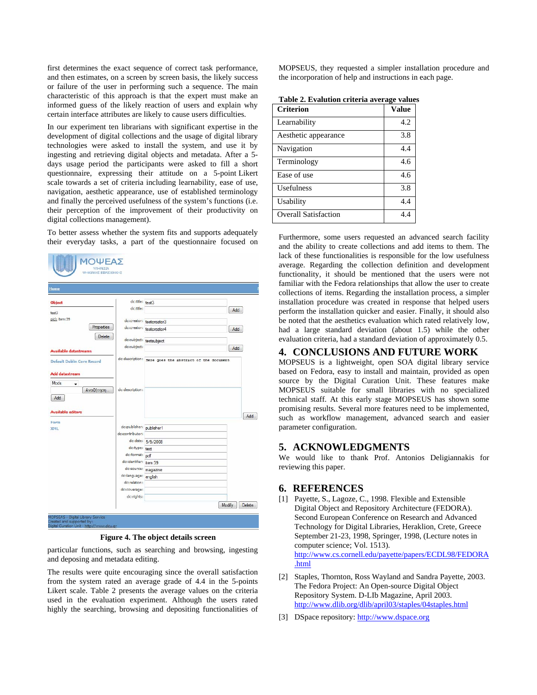first determines the exact sequence of correct task performance, and then estimates, on a screen by screen basis, the likely success or failure of the user in performing such a sequence. The main characteristic of this approach is that the expert must make an informed guess of the likely reaction of users and explain why certain interface attributes are likely to cause users difficulties.

In our experiment ten librarians with significant expertise in the development of digital collections and the usage of digital library technologies were asked to install the system, and use it by ingesting and retrieving digital objects and metadata. After a 5 days usage period the participants were asked to fill a short questionnaire, expressing their attitude on a 5-point Likert scale towards a set of criteria including learnability, ease of use, navigation, aesthetic appearance, use of established terminology and finally the perceived usefulness of the system's functions (i.e. their perception of the improvement of their productivity on digital collections management).

To better assess whether the system fits and supports adequately their everyday tasks, a part of the questionnaire focused on

| Home                                           |                                      |                                                        |     |
|------------------------------------------------|--------------------------------------|--------------------------------------------------------|-----|
| Object                                         | dc:title: test3                      |                                                        |     |
| test3                                          | dc:title:                            |                                                        | Add |
| pid: item:39                                   |                                      | dc:creator: testcreator3                               |     |
| Properties                                     |                                      | dc:creator: testcreator4                               | Add |
| Delete                                         |                                      |                                                        |     |
|                                                | dc:subject:                          | dc:subject: testsubject                                |     |
| <b>Available datastreams</b>                   |                                      |                                                        | Add |
| <b>Default Dublin Core Record</b>              |                                      | dc:description: Here goes the abstract of the document |     |
|                                                |                                      |                                                        |     |
|                                                |                                      |                                                        |     |
|                                                |                                      |                                                        |     |
| ٠                                              |                                      |                                                        |     |
| Αναζήτηση                                      | dc:description:                      |                                                        |     |
| <b>Add datastream</b><br>Mods<br>Add           |                                      |                                                        |     |
|                                                |                                      |                                                        |     |
|                                                |                                      |                                                        |     |
|                                                |                                      |                                                        | Add |
|                                                | dc:publisher: publisher1             |                                                        |     |
|                                                | dc:contributor:                      |                                                        |     |
|                                                |                                      | dc:date: 5/9/2008                                      |     |
|                                                | dc:type: text                        |                                                        |     |
|                                                | dc:format: pdf                       |                                                        |     |
|                                                | dc:identifier: item:39               |                                                        |     |
|                                                | dc:source: magazine                  |                                                        |     |
|                                                | dc:language: english<br>dc:relation: |                                                        |     |
| <b>Available editors</b><br>Form<br><b>XML</b> | dc:coverage:                         |                                                        |     |

**Figure 4. The object details screen** 

particular functions, such as searching and browsing, ingesting and deposing and metadata editing.

The results were quite encouraging since the overall satisfaction from the system rated an average grade of 4.4 in the 5-points Likert scale. Table 2 presents the average values on the criteria used in the evaluation experiment. Although the users rated highly the searching, browsing and depositing functionalities of MOPSEUS, they requested a simpler installation procedure and the incorporation of help and instructions in each page.

| Table 2. Evalution criteria average values |  |  |
|--------------------------------------------|--|--|
|--------------------------------------------|--|--|

| <b>Criterion</b>            | Value |
|-----------------------------|-------|
| Learnability                | 4.2   |
| Aesthetic appearance        | 3.8   |
| Navigation                  | 4.4   |
| Terminology                 | 4.6   |
| Ease of use                 | 4.6   |
| <b>Usefulness</b>           | 3.8   |
| Usability                   | 4.4   |
| <b>Overall Satisfaction</b> | 4.4   |

Furthermore, some users requested an advanced search facility and the ability to create collections and add items to them. The lack of these functionalities is responsible for the low usefulness average. Regarding the collection definition and development functionality, it should be mentioned that the users were not familiar with the Fedora relationships that allow the user to create collections of items. Regarding the installation process, a simpler installation procedure was created in response that helped users perform the installation quicker and easier. Finally, it should also be noted that the aesthetics evaluation which rated relatively low, had a large standard deviation (about 1.5) while the other evaluation criteria, had a standard deviation of approximately 0.5.

# **4. CONCLUSIONS AND FUTURE WORK**

MOPSEUS is a lightweight, open SOA digital library service based on Fedora, easy to install and maintain, provided as open source by the Digital Curation Unit. These features make MOPSEUS suitable for small libraries with no specialized technical staff. At this early stage MOPSEUS has shown some promising results. Several more features need to be implemented, such as workflow management, advanced search and easier parameter configuration.

#### **5. ACKNOWLEDGMENTS**

We would like to thank Prof. Antonios Deligiannakis for reviewing this paper.

#### **6. REFERENCES**

- [1] Payette, S., Lagoze, C., 1998. Flexible and Extensible Digital Object and Repository Architecture (FEDORA). Second European Conference on Research and Advanced Technology for Digital Libraries, Heraklion, Crete, Greece September 21-23, 1998, Springer, 1998, (Lecture notes in computer science; Vol. 1513). [http://www.cs.cornell.edu/payette/papers/ECDL98/FEDORA](http://www.cs.cornell.edu/payette/papers/ECDL98/FEDORA.html) [.html](http://www.cs.cornell.edu/payette/papers/ECDL98/FEDORA.html)
- [2] Staples, Thornton, Ross Wayland and Sandra Payette, 2003. The Fedora Project: An Open-source Digital Object Repository System. D-LIb Magazine, April 2003. <http://www.dlib.org/dlib/april03/staples/04staples.html>
- [3] DSpace repository: [http://www.dspace.org](http://www.dspace.org/)